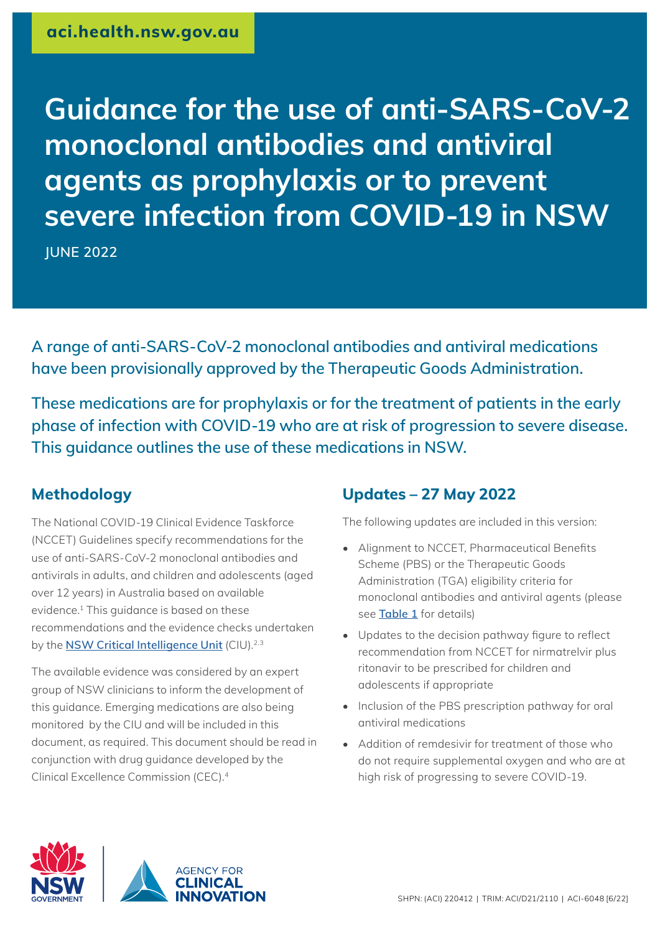# **Guidance for the use of anti-SARS-CoV-2 monoclonal antibodies and antiviral agents as prophylaxis or to prevent severe infection from COVID-19 in NSW**

**JUNE 2022**

**A range of anti-SARS-CoV-2 monoclonal antibodies and antiviral medications have been provisionally approved by the Therapeutic Goods Administration.**

**These medications are for prophylaxis or for the treatment of patients in the early phase of infection with COVID-19 who are at risk of progression to severe disease. This guidance outlines the use of these medications in NSW.** 

# **Methodology**

The National COVID-19 Clinical Evidence Taskforce (NCCET) Guidelines specify recommendations for the use of anti-SARS-CoV-2 monoclonal antibodies and antivirals in adults, and children and adolescents (aged over 12 years) in Australia based on available evidence.1 This guidance is based on these recommendations and the evidence checks undertaken by the **[NSW Critical Intelligence Unit](https://aci.health.nsw.gov.au/covid-19/critical-intelligence-unit)** (CIU).<sup>2.3</sup>

The available evidence was considered by an expert group of NSW clinicians to inform the development of this guidance. Emerging medications are also being monitored by the CIU and will be included in this document, as required. This document should be read in conjunction with drug guidance developed by the Clinical Excellence Commission (CEC).4

# **Updates – 27 May 2022**

The following updates are included in this version:

- Alignment to NCCET, Pharmaceutical Benefits Scheme (PBS) or the Therapeutic Goods Administration (TGA) eligibility criteria for monoclonal antibodies and antiviral agents (please see **[Table 1](#page-3-0)** for details)
- Updates to the decision pathway figure to reflect recommendation from NCCET for nirmatrelvir plus ritonavir to be prescribed for children and adolescents if appropriate
- Inclusion of the PBS prescription pathway for oral antiviral medications
- Addition of remdesivir for treatment of those who do not require supplemental oxygen and who are at high risk of progressing to severe COVID-19.



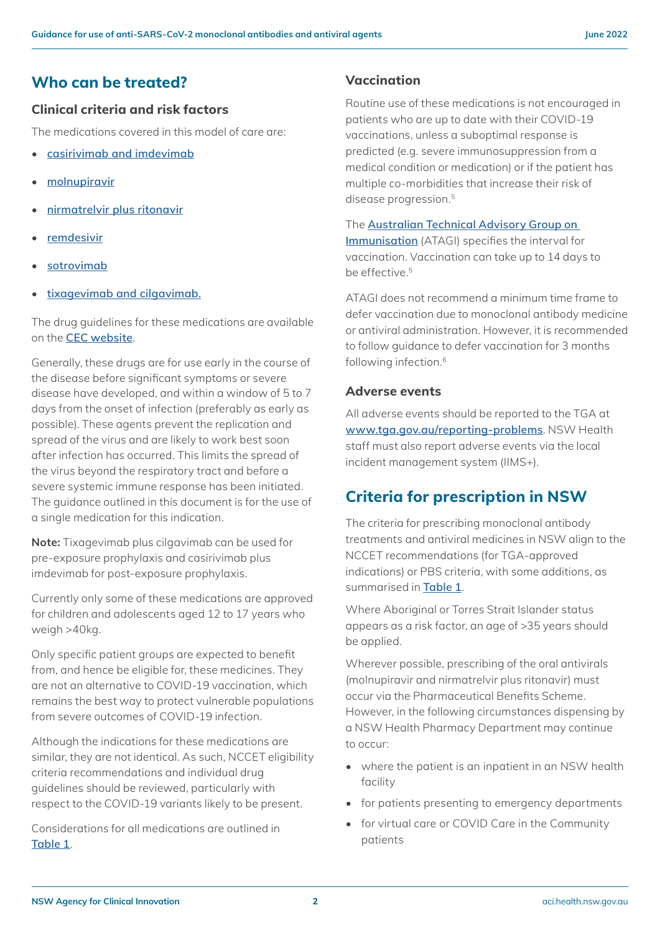## **Who can be treated?**

## **Clinical criteria and risk factors**

The medications covered in this model of care are:

- **[casirivimab and imdevimab](#page-3-1)**
- **[molnupiravir](#page-3-2)**
- **[nirmatrelvir plus ritonavir](#page-3-3)**
- **[remdesivir](#page-3-4)**
- **[sotrovimab](#page-3-5)**
- **[tixagevimab and cilgavimab](#page-3-6).**

The drug guidelines for these medications are available on the **[CEC website](https://www.cec.health.nsw.gov.au/keep-patients-safe/medication-safety/medicine-updates)**.

Generally, these drugs are for use early in the course of the disease before significant symptoms or severe disease have developed, and within a window of 5 to 7 days from the onset of infection (preferably as early as possible). These agents prevent the replication and spread of the virus and are likely to work best soon after infection has occurred. This limits the spread of the virus beyond the respiratory tract and before a severe systemic immune response has been initiated. The guidance outlined in this document is for the use of a single medication for this indication.

**Note:** Tixagevimab plus cilgavimab can be used for pre-exposure prophylaxis and casirivimab plus imdevimab for post-exposure prophylaxis.

Currently only some of these medications are approved for children and adolescents aged 12 to 17 years who weigh >40kg.

Only specific patient groups are expected to benefit from, and hence be eligible for, these medicines. They are not an alternative to COVID-19 vaccination, which remains the best way to protect vulnerable populations from severe outcomes of COVID-19 infection.

Although the indications for these medications are similar, they are not identical. As such, NCCET eligibility criteria recommendations and individual drug guidelines should be reviewed, particularly with respect to the COVID-19 variants likely to be present.

Considerations for all medications are outlined in **[Table 1](#page-3-0)**.

## **Vaccination**

Routine use of these medications is not encouraged in patients who are up to date with their COVID-19 vaccinations, unless a suboptimal response is predicted (e.g. severe immunosuppression from a medical condition or medication) or if the patient has multiple co-morbidities that increase their risk of disease progression.<sup>5</sup>

The **[Australian Technical Advisory Group on](https://www.health.gov.au/initiatives-and-programs/covid-19-vaccines/getting-your-vaccination/booster-doses#%3A%7E%3Atext%3DBooster%20doses%20for%20healthcare%20workers%2C-Healthcare%20workers%20on%26text%3DThe%20Australian%20Technical%20Advisory%20Group%2Cdue%20for%20their%20booster%20dose)  [Immunisation](https://www.health.gov.au/initiatives-and-programs/covid-19-vaccines/getting-your-vaccination/booster-doses#%3A%7E%3Atext%3DBooster%20doses%20for%20healthcare%20workers%2C-Healthcare%20workers%20on%26text%3DThe%20Australian%20Technical%20Advisory%20Group%2Cdue%20for%20their%20booster%20dose)** (ATAGI) specifies the interval for vaccination. Vaccination can take up to 14 days to be effective.<sup>5</sup>

ATAGI does not recommend a minimum time frame to defer vaccination due to monoclonal antibody medicine or antiviral administration. However, it is recommended to follow guidance to defer vaccination for 3 months following infection.6

#### **Adverse events**

All adverse events should be reported to the TGA at **[www.tga.gov.au/reporting-problems](http://www.tga.gov.au/reporting-problems)**. NSW Health staff must also report adverse events via the local incident management system (IIMS+).

# **Criteria for prescription in NSW**

The criteria for prescribing monoclonal antibody treatments and antiviral medicines in NSW align to the NCCET recommendations (for TGA-approved indications) or PBS criteria, with some additions, as summarised in **[Table 1](#page-3-0)**.

Where Aboriginal or Torres Strait Islander status appears as a risk factor, an age of >35 years should be applied.

Wherever possible, prescribing of the oral antivirals (molnupiravir and nirmatrelvir plus ritonavir) must occur via the Pharmaceutical Benefits Scheme. However, in the following circumstances dispensing by a NSW Health Pharmacy Department may continue to occur:

- where the patient is an inpatient in an NSW health facility
- for patients presenting to emergency departments
- for virtual care or COVID Care in the Community patients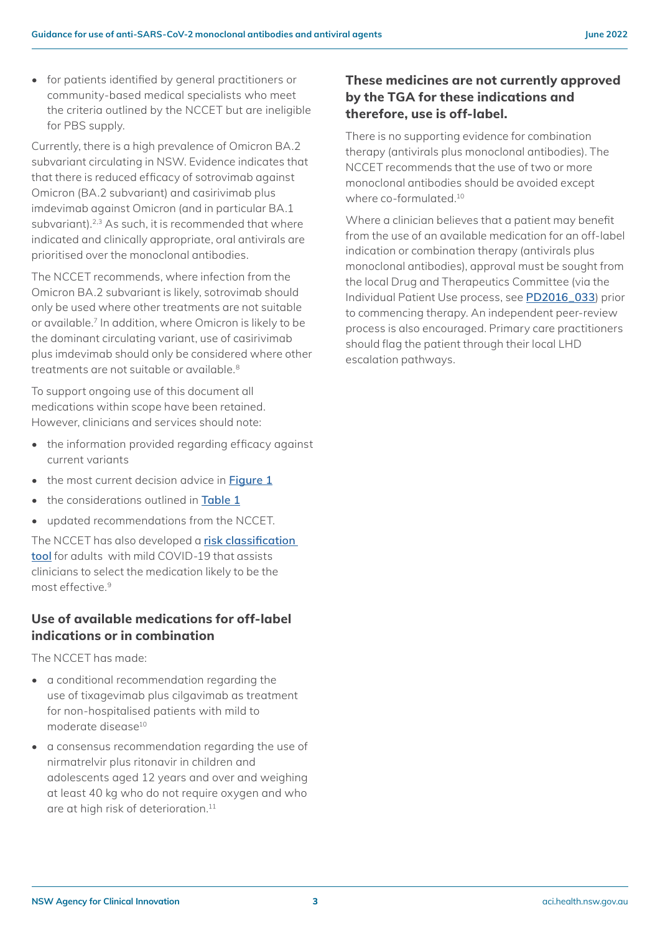• for patients identified by general practitioners or community-based medical specialists who meet the criteria outlined by the NCCET but are ineligible for PBS supply.

Currently, there is a high prevalence of Omicron BA.2 subvariant circulating in NSW. Evidence indicates that that there is reduced efficacy of sotrovimab against Omicron (BA.2 subvariant) and casirivimab plus imdevimab against Omicron (and in particular BA.1 subvariant).<sup>2,3</sup> As such, it is recommended that where indicated and clinically appropriate, oral antivirals are prioritised over the monoclonal antibodies.

The NCCET recommends, where infection from the Omicron BA.2 subvariant is likely, sotrovimab should only be used where other treatments are not suitable or available.7 In addition, where Omicron is likely to be the dominant circulating variant, use of casirivimab plus imdevimab should only be considered where other treatments are not suitable or available.<sup>8</sup>

To support ongoing use of this document all medications within scope have been retained. However, clinicians and services should note:

- the information provided regarding efficacy against current variants
- the most current decision advice in **[Figure 1](#page-4-0)**
- the considerations outlined in **[Table 1](#page-3-0)**
- updated recommendations from the NCCET.

The NCCET has also developed a **[risk classification](https://covid19evidence.net.au/wp-content/uploads/NC19CET_Risk_Classification_Tool.pdf)  [tool](https://covid19evidence.net.au/wp-content/uploads/NC19CET_Risk_Classification_Tool.pdf)** for adults with mild COVID-19 that assists clinicians to select the medication likely to be the most effective.9

#### **Use of available medications for off-label indications or in combination**

The NCCET has made:

- a conditional recommendation regarding the use of tixagevimab plus cilgavimab as treatment for non-hospitalised patients with mild to moderate disease10
- a consensus recommendation regarding the use of nirmatrelvir plus ritonavir in children and adolescents aged 12 years and over and weighing at least 40 kg who do not require oxygen and who are at high risk of deterioration.<sup>11</sup>

### **These medicines are not currently approved by the TGA for these indications and therefore, use is off-label.**

There is no supporting evidence for combination therapy (antivirals plus monoclonal antibodies). The NCCET recommends that the use of two or more monoclonal antibodies should be avoided except where co-formulated.10

Where a clinician believes that a patient may benefit from the use of an available medication for an off-label indication or combination therapy (antivirals plus monoclonal antibodies), approval must be sought from the local Drug and Therapeutics Committee (via the Individual Patient Use process, see **[PD2016\\_033](https://www1.health.nsw.gov.au/pds/ActivePDSDocuments/PD2016_033.pdf)**) prior to commencing therapy. An independent peer-review process is also encouraged. Primary care practitioners should flag the patient through their local LHD escalation pathways.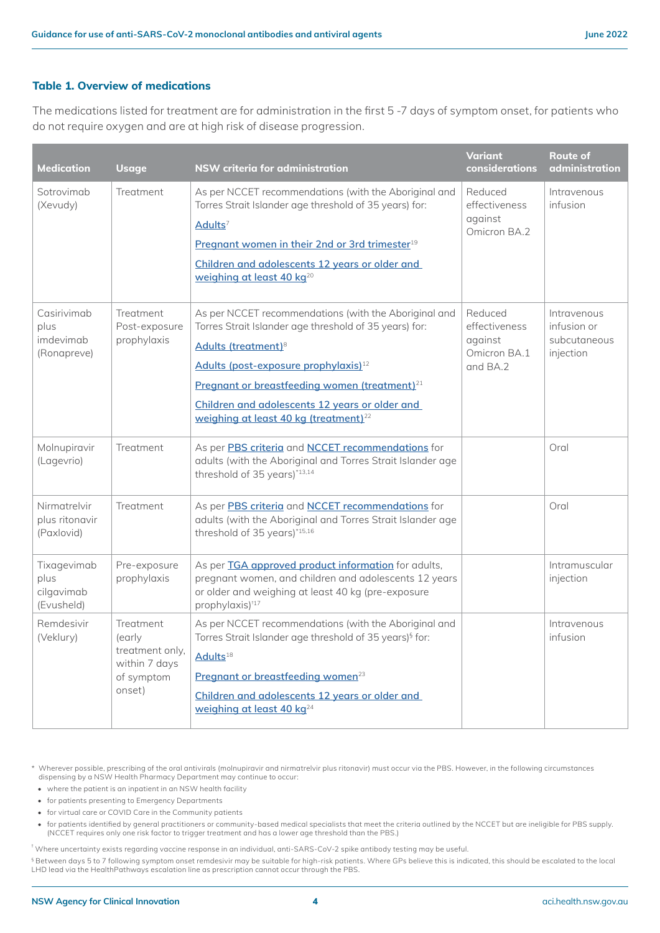#### <span id="page-3-0"></span>**Table 1. Overview of medications**

The medications listed for treatment are for administration in the first 5 -7 days of symptom onset, for patients who do not require oxygen and are at high risk of disease progression.

<span id="page-3-5"></span><span id="page-3-2"></span><span id="page-3-1"></span>

| <b>Medication</b>                               | <b>Usage</b>                                                                    | NSW criteria for administration                                                                                                                                                                                                                                                                                                                                            | <b>Variant</b><br><b>considerations</b>                           | <b>Route of</b><br>administration                       |
|-------------------------------------------------|---------------------------------------------------------------------------------|----------------------------------------------------------------------------------------------------------------------------------------------------------------------------------------------------------------------------------------------------------------------------------------------------------------------------------------------------------------------------|-------------------------------------------------------------------|---------------------------------------------------------|
| Sotrovimab<br>(Xevudy)                          | Treatment                                                                       | As per NCCET recommendations (with the Aboriginal and<br>Torres Strait Islander age threshold of 35 years) for:<br>Adults <sup>7</sup><br>Pregnant women in their 2nd or 3rd trimester <sup>19</sup><br>Children and adolescents 12 years or older and<br>weighing at least 40 kg <sup>20</sup>                                                                            | Reduced<br>effectiveness<br>against<br>Omicron BA.2               | Intravenous<br>infusion                                 |
| Casirivimab<br>plus<br>imdevimab<br>(Ronapreve) | Treatment<br>Post-exposure<br>prophylaxis                                       | As per NCCET recommendations (with the Aboriginal and<br>Torres Strait Islander age threshold of 35 years) for:<br>Adults (treatment) <sup>8</sup><br>Adults (post-exposure prophylaxis) <sup>12</sup><br>Pregnant or breastfeeding women (treatment) <sup>21</sup><br>Children and adolescents 12 years or older and<br>weighing at least 40 kg (treatment) <sup>22</sup> | Reduced<br>effectiveness<br>against<br>Omicron BA.1<br>and $BA.2$ | Intravenous<br>infusion or<br>subcutaneous<br>injection |
| Molnupiravir<br>(Lagevrio)                      | Treatment                                                                       | As per PBS criteria and NCCET recommendations for<br>adults (with the Aboriginal and Torres Strait Islander age<br>threshold of 35 years)*13,14                                                                                                                                                                                                                            |                                                                   | Oral                                                    |
| Nirmatrelvir<br>plus ritonavir<br>(Paxlovid)    | Treatment                                                                       | As per PBS criteria and NCCET recommendations for<br>adults (with the Aboriginal and Torres Strait Islander age<br>threshold of 35 years)*15,16                                                                                                                                                                                                                            |                                                                   | Oral                                                    |
| Tixagevimab<br>plus<br>cilgavimab<br>(Evusheld) | Pre-exposure<br>prophylaxis                                                     | As per TGA approved product information for adults,<br>pregnant women, and children and adolescents 12 years<br>or older and weighing at least 40 kg (pre-exposure<br>prophylaxis) <sup>117</sup>                                                                                                                                                                          |                                                                   | Intramuscular<br>injection                              |
| Remdesivir<br>(Veklury)                         | Treatment<br>(early<br>treatment only.<br>within 7 days<br>of symptom<br>onset) | As per NCCET recommendations (with the Aboriginal and<br>Torres Strait Islander age threshold of 35 years) <sup>§</sup> for:<br>Adults <sup>18</sup><br>Pregnant or breastfeeding women <sup>23</sup><br>Children and adolescents 12 years or older and<br>weighing at least 40 kg <sup>24</sup>                                                                           |                                                                   | Intravenous<br>infusion                                 |

<span id="page-3-6"></span><span id="page-3-4"></span><span id="page-3-3"></span>\* Wherever possible, prescribing of the oral antivirals (molnupiravir and nirmatrelvir plus ritonavir) must occur via the PBS. However, in the following circumstances dispensing by a NSW Health Pharmacy Department may continue to occur:

• where the patient is an inpatient in an NSW health facility

• for patients presenting to Emergency Departments

• for virtual care or COVID Care in the Community patients

• for patients identified by general practitioners or community-based medical specialists that meet the criteria outlined by the NCCET but are ineligible for PBS supply. (NCCET requires only one risk factor to trigger treatment and has a lower age threshold than the PBS.)

† Where uncertainty exists regarding vaccine response in an individual, anti-SARS-CoV-2 spike antibody testing may be useful.

§ Between days 5 to 7 following symptom onset remdesivir may be suitable for high-risk patients. Where GPs believe this is indicated, this should be escalated to the local LHD lead via the HealthPathways escalation line as prescription cannot occur through the PBS.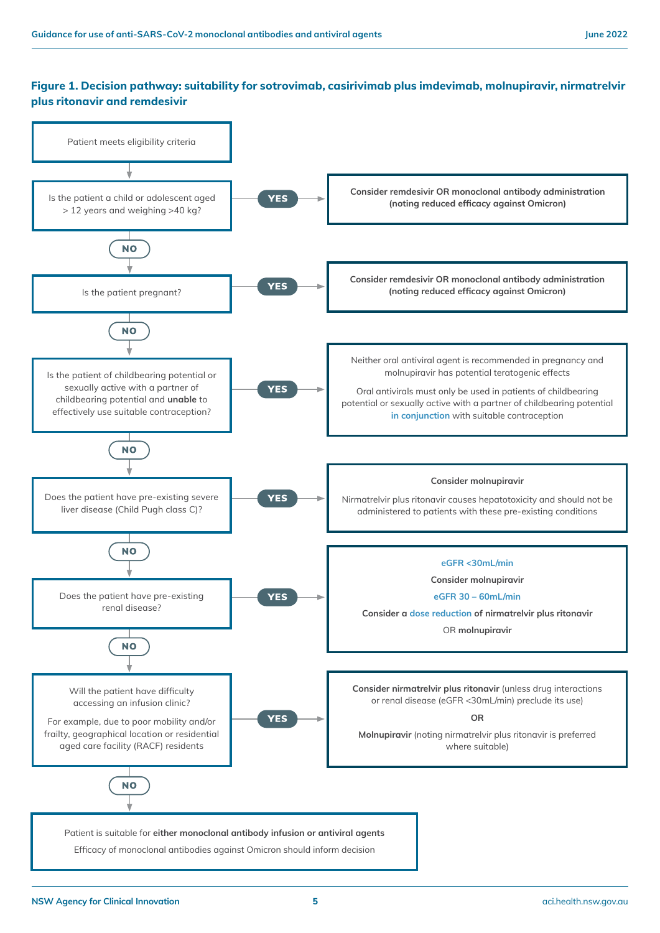#### <span id="page-4-0"></span>**Figure 1. Decision pathway: suitability for sotrovimab, casirivimab plus imdevimab, molnupiravir, nirmatrelvir plus ritonavir and remdesivir**

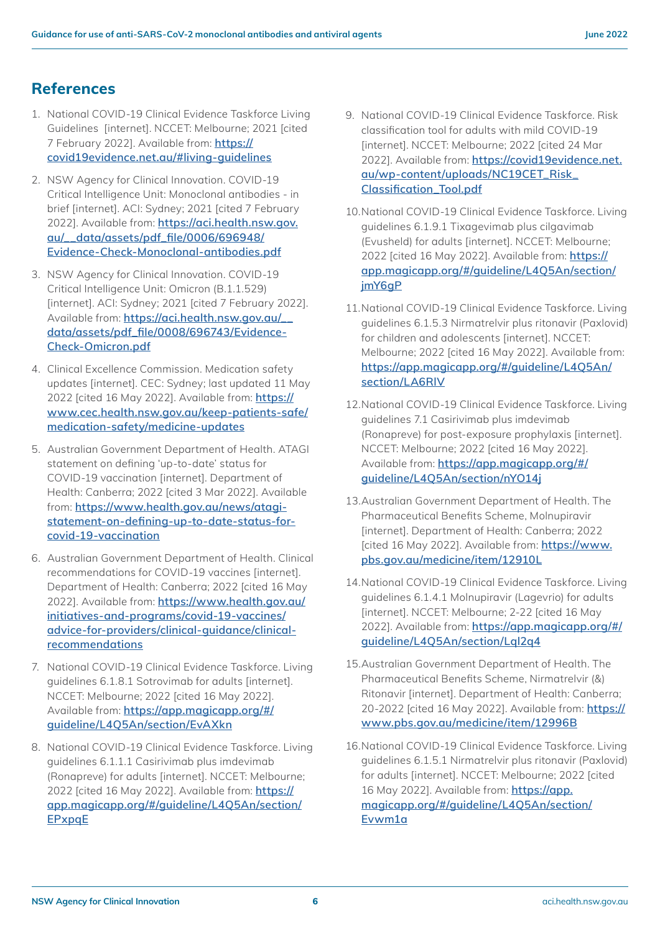## **References**

- 1. National COVID-19 Clinical Evidence Taskforce Living Guidelines [internet]. NCCET: Melbourne; 2021 [cited 7 February 2022]. Available from: **[https://](https://covid19evidence.net.au/#living-guidelines) [covid19evidence.net.au/#living-guidelines](https://covid19evidence.net.au/#living-guidelines)**
- 2. NSW Agency for Clinical Innovation. COVID-19 Critical Intelligence Unit: Monoclonal antibodies - in brief [internet]. ACI: Sydney; 2021 [cited 7 February 2022]. Available from: **[https://aci.health.nsw.gov.](https://aci.health.nsw.gov.au/__data/assets/pdf_file/0006/696948/Evidence-Check-Monoclonal-antibodies.pdf) [au/\\_\\_data/assets/pdf\\_file/0006/696948/](https://aci.health.nsw.gov.au/__data/assets/pdf_file/0006/696948/Evidence-Check-Monoclonal-antibodies.pdf) [Evidence-Check-Monoclonal-antibodies.pdf](https://aci.health.nsw.gov.au/__data/assets/pdf_file/0006/696948/Evidence-Check-Monoclonal-antibodies.pdf)**
- 3. NSW Agency for Clinical Innovation. COVID-19 Critical Intelligence Unit: Omicron (B.1.1.529) [internet]. ACI: Sydney; 2021 [cited 7 February 2022]. Available from: **[https://aci.health.nsw.gov.au/\\_\\_](https://aci.health.nsw.gov.au/__data/assets/pdf_file/0008/696743/Evidence-Check-Omicron.pdf) [data/assets/pdf\\_file/0008/696743/Evidence-](https://aci.health.nsw.gov.au/__data/assets/pdf_file/0008/696743/Evidence-Check-Omicron.pdf)[Check-Omicron.pdf](https://aci.health.nsw.gov.au/__data/assets/pdf_file/0008/696743/Evidence-Check-Omicron.pdf)**
- 4. Clinical Excellence Commission. Medication safety updates [internet]. CEC: Sydney; last updated 11 May 2022 [cited 16 May 2022]. Available from: **[https://](https://www.cec.health.nsw.gov.au/keep-patients-safe/medication-safety/medicine-updates) [www.cec.health.nsw.gov.au/keep-patients-safe/](https://www.cec.health.nsw.gov.au/keep-patients-safe/medication-safety/medicine-updates) [medication-safety/medicine-updates](https://www.cec.health.nsw.gov.au/keep-patients-safe/medication-safety/medicine-updates)**
- 5. Australian Government Department of Health. ATAGI statement on defining 'up-to-date' status for COVID-19 vaccination [internet]. Department of Health: Canberra; 2022 [cited 3 Mar 2022]. Available from: **[https://www.health.gov.au/news/atagi](https://www.health.gov.au/news/atagi-statement-on-defining-up-to-date-status-for-covid-19-vaccination)[statement-on-defining-up-to-date-status-for](https://www.health.gov.au/news/atagi-statement-on-defining-up-to-date-status-for-covid-19-vaccination)[covid-19-vaccination](https://www.health.gov.au/news/atagi-statement-on-defining-up-to-date-status-for-covid-19-vaccination)**
- 6. Australian Government Department of Health. Clinical recommendations for COVID-19 vaccines [internet]. Department of Health: Canberra; 2022 [cited 16 May 2022]. Available from: **[https://www.health.gov.au/](https://www.health.gov.au/initiatives-and-programs/covid-19-vaccines/advice-for-providers/clinical-guidance/clinical-recommendations) [initiatives-and-programs/covid-19-vaccines/](https://www.health.gov.au/initiatives-and-programs/covid-19-vaccines/advice-for-providers/clinical-guidance/clinical-recommendations) [advice-for-providers/clinical-guidance/clinical](https://www.health.gov.au/initiatives-and-programs/covid-19-vaccines/advice-for-providers/clinical-guidance/clinical-recommendations)[recommendations](https://www.health.gov.au/initiatives-and-programs/covid-19-vaccines/advice-for-providers/clinical-guidance/clinical-recommendations)**
- 7. National COVID-19 Clinical Evidence Taskforce. Living guidelines 6.1.8.1 Sotrovimab for adults [internet]. NCCET: Melbourne; 2022 [cited 16 May 2022]. Available from: **[https://app.magicapp.org/#/](https://app.magicapp.org/#/guideline/L4Q5An/section/EvAXkn) [guideline/L4Q5An/section/EvAXkn](https://app.magicapp.org/#/guideline/L4Q5An/section/EvAXkn)**
- 8. National COVID-19 Clinical Evidence Taskforce. Living guidelines 6.1.1.1 Casirivimab plus imdevimab (Ronapreve) for adults [internet]. NCCET: Melbourne; 2022 [cited 16 May 2022]. Available from: **[https://](https://app.magicapp.org/#/guideline/L4Q5An/section/EPxpqE) [app.magicapp.org/#/guideline/L4Q5An/section/](https://app.magicapp.org/#/guideline/L4Q5An/section/EPxpqE) [EPxpqE](https://app.magicapp.org/#/guideline/L4Q5An/section/EPxpqE)**
- 9. National COVID-19 Clinical Evidence Taskforce. Risk classification tool for adults with mild COVID-19 [internet]. NCCET: Melbourne; 2022 [cited 24 Mar 2022]. Available from: **[https://covid19evidence.net.](https://covid19evidence.net.au/wp-content/uploads/NC19CET_Risk_Classification_Tool.pdf) [au/wp-content/uploads/NC19CET\\_Risk\\_](https://covid19evidence.net.au/wp-content/uploads/NC19CET_Risk_Classification_Tool.pdf) [Classification\\_Tool.pdf](https://covid19evidence.net.au/wp-content/uploads/NC19CET_Risk_Classification_Tool.pdf)**
- 10.National COVID-19 Clinical Evidence Taskforce. Living guidelines 6.1.9.1 Tixagevimab plus cilgavimab (Evusheld) for adults [internet]. NCCET: Melbourne; 2022 [cited 16 May 2022]. Available from: **[https://](https://app.magicapp.org/#/guideline/L4Q5An/section/jmY6gP) [app.magicapp.org/#/guideline/L4Q5An/section/](https://app.magicapp.org/#/guideline/L4Q5An/section/jmY6gP) [jmY6gP](https://app.magicapp.org/#/guideline/L4Q5An/section/jmY6gP)**
- 11.National COVID-19 Clinical Evidence Taskforce. Living guidelines 6.1.5.3 Nirmatrelvir plus ritonavir (Paxlovid) for children and adolescents [internet]. NCCET: Melbourne; 2022 [cited 16 May 2022]. Available from: **[https://app.magicapp.org/#/guideline/L4Q5An/](https://app.magicapp.org/#/guideline/L4Q5An/section/LA6RlV) [section/LA6RlV](https://app.magicapp.org/#/guideline/L4Q5An/section/LA6RlV)**
- 12.National COVID-19 Clinical Evidence Taskforce. Living guidelines 7.1 Casirivimab plus imdevimab (Ronapreve) for post-exposure prophylaxis [internet]. NCCET: Melbourne; 2022 [cited 16 May 2022]. Available from: **[https://app.magicapp.org/#/](https://app.magicapp.org/#/guideline/L4Q5An/section/nYO14j) [guideline/L4Q5An/section/nYO14j](https://app.magicapp.org/#/guideline/L4Q5An/section/nYO14j)**
- 13.Australian Government Department of Health. The Pharmaceutical Benefits Scheme, Molnupiravir [internet]. Department of Health: Canberra; 2022 [cited 16 May 2022]. Available from: **[https://www.](https://www.pbs.gov.au/medicine/item/12910L) [pbs.gov.au/medicine/item/12910L](https://www.pbs.gov.au/medicine/item/12910L)**
- 14.National COVID-19 Clinical Evidence Taskforce. Living guidelines 6.1.4.1 Molnupiravir (Lagevrio) for adults [internet]. NCCET: Melbourne; 2-22 [cited 16 May 2022]. Available from: **[https://app.magicapp.org/#/](https://app.magicapp.org/#/guideline/L4Q5An/section/Lql2q4) [guideline/L4Q5An/section/Lql2q4](https://app.magicapp.org/#/guideline/L4Q5An/section/Lql2q4)**
- 15.Australian Government Department of Health. The Pharmaceutical Benefits Scheme, Nirmatrelvir (&) Ritonavir [internet]. Department of Health: Canberra; 20-2022 [cited 16 May 2022]. Available from: **[https://](https://www.pbs.gov.au/medicine/item/12996B) [www.pbs.gov.au/medicine/item/12996B](https://www.pbs.gov.au/medicine/item/12996B)**
- 16.National COVID-19 Clinical Evidence Taskforce. Living guidelines 6.1.5.1 Nirmatrelvir plus ritonavir (Paxlovid) for adults [internet]. NCCET: Melbourne; 2022 [cited 16 May 2022]. Available from: **[https://app.](https://app.magicapp.org/#/guideline/L4Q5An/section/Evwm1a) [magicapp.org/#/guideline/L4Q5An/section/](https://app.magicapp.org/#/guideline/L4Q5An/section/Evwm1a) [Evwm1a](https://app.magicapp.org/#/guideline/L4Q5An/section/Evwm1a)**